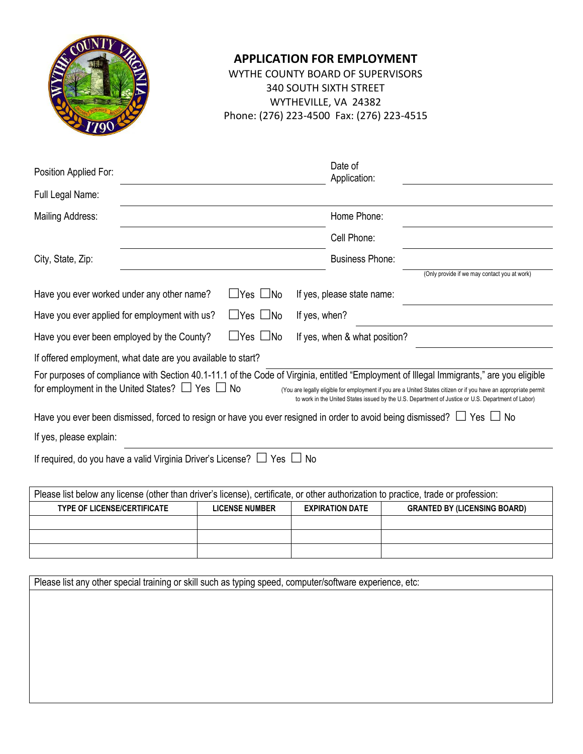

#### **APPLICATION FOR EMPLOYMENT**

WYTHE COUNTY BOARD OF SUPERVISORS 340 SOUTH SIXTH STREET WYTHEVILLE, VA 24382 Phone: (276) 223-4500 Fax: (276) 223-4515

| Position Applied For:                                                                                                                                                                                 | Date of<br>Application:                                                                                                                                                                                                |  |
|-------------------------------------------------------------------------------------------------------------------------------------------------------------------------------------------------------|------------------------------------------------------------------------------------------------------------------------------------------------------------------------------------------------------------------------|--|
| Full Legal Name:                                                                                                                                                                                      |                                                                                                                                                                                                                        |  |
| Mailing Address:                                                                                                                                                                                      | Home Phone:                                                                                                                                                                                                            |  |
|                                                                                                                                                                                                       | Cell Phone:                                                                                                                                                                                                            |  |
| City, State, Zip:                                                                                                                                                                                     | <b>Business Phone:</b>                                                                                                                                                                                                 |  |
|                                                                                                                                                                                                       | (Only provide if we may contact you at work)                                                                                                                                                                           |  |
| Have you ever worked under any other name?<br>$\sqcup$ Yes $\sqcup$ No                                                                                                                                | If yes, please state name:                                                                                                                                                                                             |  |
| $\Box$ Yes $\Box$ No<br>Have you ever applied for employment with us?                                                                                                                                 | If yes, when?                                                                                                                                                                                                          |  |
| $\Box$ Yes $\Box$ No<br>Have you ever been employed by the County?                                                                                                                                    | If yes, when & what position?                                                                                                                                                                                          |  |
| If offered employment, what date are you available to start?                                                                                                                                          |                                                                                                                                                                                                                        |  |
| For purposes of compliance with Section 40.1-11.1 of the Code of Virginia, entitled "Employment of Illegal Immigrants," are you eligible<br>for employment in the United States? $\Box$ Yes $\Box$ No | (You are legally eligible for employment if you are a United States citizen or if you have an appropriate permit<br>to work in the United States issued by the U.S. Department of Justice or U.S. Department of Labor) |  |
| Have you ever been dismissed, forced to resign or have you ever resigned in order to avoid being dismissed? $\Box$ Yes $\Box$ No                                                                      |                                                                                                                                                                                                                        |  |
| If yes, please explain:                                                                                                                                                                               |                                                                                                                                                                                                                        |  |
| If required, do you have a valid Virginia Driver's License? $\Box$ Yes $\Box$<br>- No                                                                                                                 |                                                                                                                                                                                                                        |  |
| Please list below any license (other than driver's license), certificate, or other authorization to practice, trade or profession:                                                                    |                                                                                                                                                                                                                        |  |
|                                                                                                                                                                                                       |                                                                                                                                                                                                                        |  |

| <b>TYPE OF LICENSE/CERTIFICATE</b> | <b>LICENSE NUMBER</b> | <b>EXPIRATION DATE</b> | <b>GRANTED BY (LICENSING BOARD)</b> |
|------------------------------------|-----------------------|------------------------|-------------------------------------|
|                                    |                       |                        |                                     |
|                                    |                       |                        |                                     |
|                                    |                       |                        |                                     |

Please list any other special training or skill such as typing speed, computer/software experience, etc: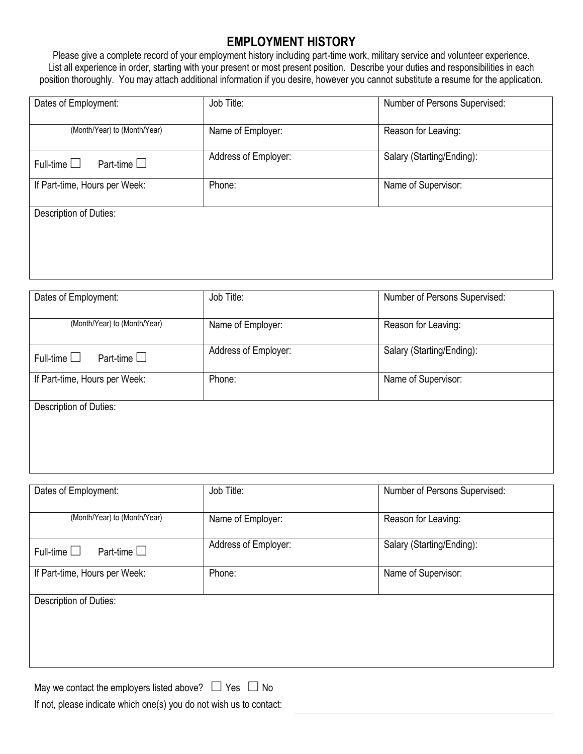#### **EMPLOYMENT HISTORY**

Please give a complete record of your employment history including part-time work, military service and volunteer experience. List all experience in order, starting with your present or most present position. Describe your duties and responsibilities in each position thoroughly. You may attach additional information if you desire, however you cannot substitute a resume for the application.

| Dates of Employment:                    | Job Title:           | Number of Persons Supervised: |  |
|-----------------------------------------|----------------------|-------------------------------|--|
| (Month/Year) to (Month/Year)            | Name of Employer:    | Reason for Leaving:           |  |
| Part-time $\square$<br>Full-time $\Box$ | Address of Employer: | Salary (Starting/Ending):     |  |
| If Part-time, Hours per Week:           | Phone:               | Name of Supervisor:           |  |
| Description of Duties:                  |                      |                               |  |
|                                         |                      |                               |  |
|                                         |                      |                               |  |

| Dates of Employment:                       | Job Title:           | Number of Persons Supervised: |
|--------------------------------------------|----------------------|-------------------------------|
| (Month/Year) to (Month/Year)               | Name of Employer:    | Reason for Leaving:           |
| Part-time $\square$<br>Full-time $\square$ | Address of Employer: | Salary (Starting/Ending):     |
| If Part-time, Hours per Week:              | Phone:               | Name of Supervisor:           |
| Description of Duties:                     |                      |                               |
|                                            |                      |                               |

| Job Title:           | Number of Persons Supervised: |
|----------------------|-------------------------------|
| Name of Employer:    | Reason for Leaving:           |
| Address of Employer: | Salary (Starting/Ending):     |
| Phone:               | Name of Supervisor:           |
|                      |                               |
|                      |                               |
|                      |                               |
|                      |                               |

May we contact the employers listed above?  $\Box$  Yes  $\Box$  No If not, please indicate which one(s) you do not wish us to contact: